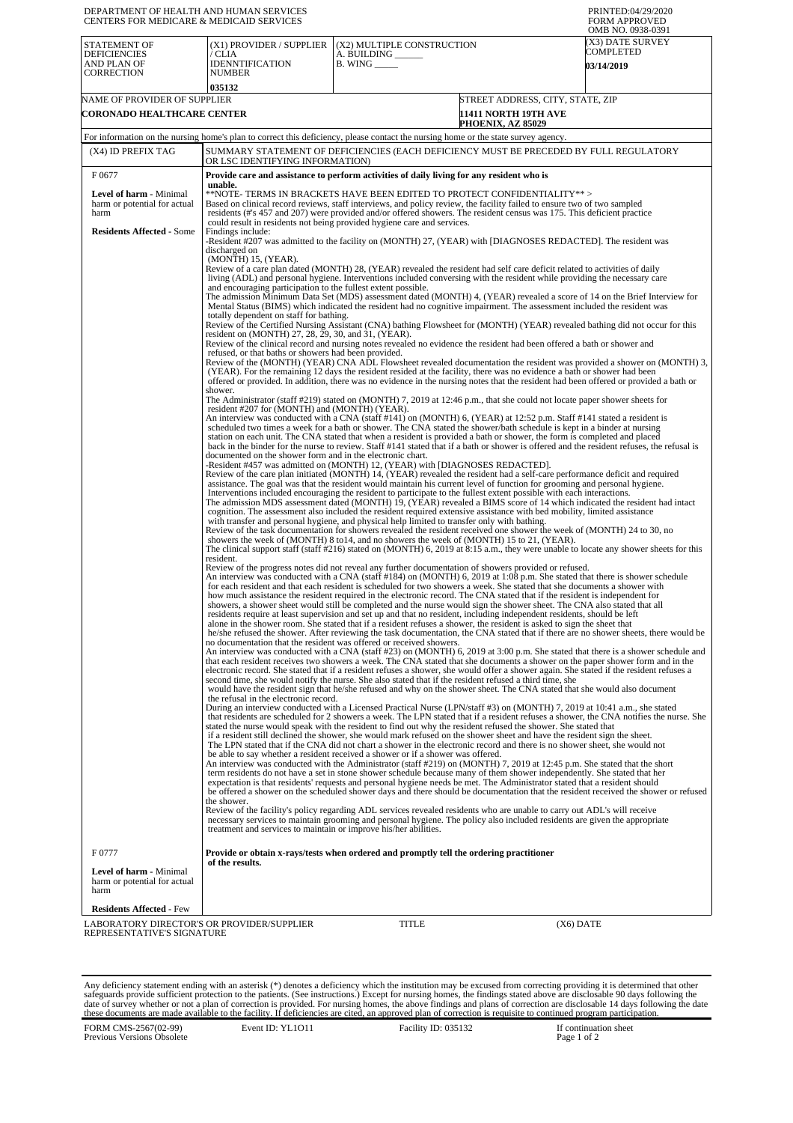| DEPARTMENT OF HEALTH AND HUMAN SERVICES<br>CENTERS FOR MEDICARE & MEDICAID SERVICES                                                |                                                                                                                                                                                                                                                                                                                                                                                                                                                                                                                                                                                                                                                                                                                                                                                                                                                                                                                                                                                                                                                                                                                                                                                                                                                                         |                                                                                                                                                                                                                                                                                                                                                                                                                                                                                                                                                                                                                                                                                                                                                                                                                                                                                                                                                                                                                                                                                                                                                                                                                                     | PRINTED:04/29/2020<br><b>FORM APPROVED</b><br>OMB NO. 0938-0391 |  |  |
|------------------------------------------------------------------------------------------------------------------------------------|-------------------------------------------------------------------------------------------------------------------------------------------------------------------------------------------------------------------------------------------------------------------------------------------------------------------------------------------------------------------------------------------------------------------------------------------------------------------------------------------------------------------------------------------------------------------------------------------------------------------------------------------------------------------------------------------------------------------------------------------------------------------------------------------------------------------------------------------------------------------------------------------------------------------------------------------------------------------------------------------------------------------------------------------------------------------------------------------------------------------------------------------------------------------------------------------------------------------------------------------------------------------------|-------------------------------------------------------------------------------------------------------------------------------------------------------------------------------------------------------------------------------------------------------------------------------------------------------------------------------------------------------------------------------------------------------------------------------------------------------------------------------------------------------------------------------------------------------------------------------------------------------------------------------------------------------------------------------------------------------------------------------------------------------------------------------------------------------------------------------------------------------------------------------------------------------------------------------------------------------------------------------------------------------------------------------------------------------------------------------------------------------------------------------------------------------------------------------------------------------------------------------------|-----------------------------------------------------------------|--|--|
| STATEMENT OF<br><b>DEFICIENCIES</b><br>AND PLAN OF                                                                                 | (X1) PROVIDER / SUPPLIER<br>/ CLIA<br><b>IDENNTIFICATION</b>                                                                                                                                                                                                                                                                                                                                                                                                                                                                                                                                                                                                                                                                                                                                                                                                                                                                                                                                                                                                                                                                                                                                                                                                            | (X2) MULTIPLE CONSTRUCTION<br>A. BUILDING ______<br>$B.$ WING $\_\_\_\_\_\_\$                                                                                                                                                                                                                                                                                                                                                                                                                                                                                                                                                                                                                                                                                                                                                                                                                                                                                                                                                                                                                                                                                                                                                       | (X3) DATE SURVEY<br>COMPLETED<br><b>03/14/2019</b>              |  |  |
| CORRECTION                                                                                                                         | <b>NUMBER</b><br>035132                                                                                                                                                                                                                                                                                                                                                                                                                                                                                                                                                                                                                                                                                                                                                                                                                                                                                                                                                                                                                                                                                                                                                                                                                                                 |                                                                                                                                                                                                                                                                                                                                                                                                                                                                                                                                                                                                                                                                                                                                                                                                                                                                                                                                                                                                                                                                                                                                                                                                                                     |                                                                 |  |  |
| NAME OF PROVIDER OF SUPPLIER                                                                                                       |                                                                                                                                                                                                                                                                                                                                                                                                                                                                                                                                                                                                                                                                                                                                                                                                                                                                                                                                                                                                                                                                                                                                                                                                                                                                         |                                                                                                                                                                                                                                                                                                                                                                                                                                                                                                                                                                                                                                                                                                                                                                                                                                                                                                                                                                                                                                                                                                                                                                                                                                     | STREET ADDRESS, CITY, STATE, ZIP                                |  |  |
| CORONADO HEALTHCARE CENTER                                                                                                         |                                                                                                                                                                                                                                                                                                                                                                                                                                                                                                                                                                                                                                                                                                                                                                                                                                                                                                                                                                                                                                                                                                                                                                                                                                                                         | <b>11411 NORTH 19TH AVE</b><br>PHOENIX, AZ 85029                                                                                                                                                                                                                                                                                                                                                                                                                                                                                                                                                                                                                                                                                                                                                                                                                                                                                                                                                                                                                                                                                                                                                                                    |                                                                 |  |  |
| For information on the nursing home's plan to correct this deficiency, please contact the nursing home or the state survey agency. |                                                                                                                                                                                                                                                                                                                                                                                                                                                                                                                                                                                                                                                                                                                                                                                                                                                                                                                                                                                                                                                                                                                                                                                                                                                                         |                                                                                                                                                                                                                                                                                                                                                                                                                                                                                                                                                                                                                                                                                                                                                                                                                                                                                                                                                                                                                                                                                                                                                                                                                                     |                                                                 |  |  |
| (X4) ID PREFIX TAG                                                                                                                 | SUMMARY STATEMENT OF DEFICIENCIES (EACH DEFICIENCY MUST BE PRECEDED BY FULL REGULATORY<br>OR LSC IDENTIFYING INFORMATION)                                                                                                                                                                                                                                                                                                                                                                                                                                                                                                                                                                                                                                                                                                                                                                                                                                                                                                                                                                                                                                                                                                                                               |                                                                                                                                                                                                                                                                                                                                                                                                                                                                                                                                                                                                                                                                                                                                                                                                                                                                                                                                                                                                                                                                                                                                                                                                                                     |                                                                 |  |  |
| F0677                                                                                                                              | Provide care and assistance to perform activities of daily living for any resident who is<br>unable.                                                                                                                                                                                                                                                                                                                                                                                                                                                                                                                                                                                                                                                                                                                                                                                                                                                                                                                                                                                                                                                                                                                                                                    |                                                                                                                                                                                                                                                                                                                                                                                                                                                                                                                                                                                                                                                                                                                                                                                                                                                                                                                                                                                                                                                                                                                                                                                                                                     |                                                                 |  |  |
| Level of harm - Minimal<br>harm or potential for actual<br>harm                                                                    | **NOTE- TERMS IN BRACKETS HAVE BEEN EDITED TO PROTECT CONFIDENTIALITY**><br>Based on clinical record reviews, staff interviews, and policy review, the facility failed to ensure two of two sampled<br>residents (#'s 457 and 207) were provided and/or offered showers. The resident census was 175. This deficient practice<br>could result in residents not being provided hygiene care and services.                                                                                                                                                                                                                                                                                                                                                                                                                                                                                                                                                                                                                                                                                                                                                                                                                                                                |                                                                                                                                                                                                                                                                                                                                                                                                                                                                                                                                                                                                                                                                                                                                                                                                                                                                                                                                                                                                                                                                                                                                                                                                                                     |                                                                 |  |  |
| <b>Residents Affected - Some</b>                                                                                                   | Findings include:<br>-Resident #207 was admitted to the facility on (MONTH) 27, (YEAR) with [DIAGNOSES REDACTED]. The resident was<br>discharged on<br>(MONTH) 15, (YEAR).                                                                                                                                                                                                                                                                                                                                                                                                                                                                                                                                                                                                                                                                                                                                                                                                                                                                                                                                                                                                                                                                                              |                                                                                                                                                                                                                                                                                                                                                                                                                                                                                                                                                                                                                                                                                                                                                                                                                                                                                                                                                                                                                                                                                                                                                                                                                                     |                                                                 |  |  |
|                                                                                                                                    | Review of a care plan dated (MONTH) 28, (YEAR) revealed the resident had self care deficit related to activities of daily<br>living (ADL) and personal hygiene. Interventions included conversing with the resident while providing the necessary care<br>and encouraging participation to the fullest extent possible.<br>The admission Minimum Data Set (MDS) assessment dated (MONTH) 4, (YEAR) revealed a score of 14 on the Brief Interview for                                                                                                                                                                                                                                                                                                                                                                                                                                                                                                                                                                                                                                                                                                                                                                                                                    |                                                                                                                                                                                                                                                                                                                                                                                                                                                                                                                                                                                                                                                                                                                                                                                                                                                                                                                                                                                                                                                                                                                                                                                                                                     |                                                                 |  |  |
|                                                                                                                                    | totally dependent on staff for bathing.                                                                                                                                                                                                                                                                                                                                                                                                                                                                                                                                                                                                                                                                                                                                                                                                                                                                                                                                                                                                                                                                                                                                                                                                                                 | Mental Status (BIMS) which indicated the resident had no cognitive impairment. The assessment included the resident was                                                                                                                                                                                                                                                                                                                                                                                                                                                                                                                                                                                                                                                                                                                                                                                                                                                                                                                                                                                                                                                                                                             |                                                                 |  |  |
|                                                                                                                                    | resident on (MONTH) 27, 28, 29, 30, and 31, (YEAR).                                                                                                                                                                                                                                                                                                                                                                                                                                                                                                                                                                                                                                                                                                                                                                                                                                                                                                                                                                                                                                                                                                                                                                                                                     | Review of the Certified Nursing Assistant (CNA) bathing Flowsheet for (MONTH) (YEAR) revealed bathing did not occur for this                                                                                                                                                                                                                                                                                                                                                                                                                                                                                                                                                                                                                                                                                                                                                                                                                                                                                                                                                                                                                                                                                                        |                                                                 |  |  |
|                                                                                                                                    | refused, or that baths or showers had been provided.                                                                                                                                                                                                                                                                                                                                                                                                                                                                                                                                                                                                                                                                                                                                                                                                                                                                                                                                                                                                                                                                                                                                                                                                                    | Review of the clinical record and nursing notes revealed no evidence the resident had been offered a bath or shower and                                                                                                                                                                                                                                                                                                                                                                                                                                                                                                                                                                                                                                                                                                                                                                                                                                                                                                                                                                                                                                                                                                             |                                                                 |  |  |
|                                                                                                                                    | Review of the (MONTH) (YEAR) CNA ADL Flowsheet revealed documentation the resident was provided a shower on (MONTH) 3,<br>(YEAR). For the remaining 12 days the resident resided at the facility, there was no evidence a bath or shower had been<br>offered or provided. In addition, there was no evidence in the nursing notes that the resident had been offered or provided a bath or<br>shower.                                                                                                                                                                                                                                                                                                                                                                                                                                                                                                                                                                                                                                                                                                                                                                                                                                                                   |                                                                                                                                                                                                                                                                                                                                                                                                                                                                                                                                                                                                                                                                                                                                                                                                                                                                                                                                                                                                                                                                                                                                                                                                                                     |                                                                 |  |  |
|                                                                                                                                    | resident #207 for (MONTH) and (MONTH) (YEAR).                                                                                                                                                                                                                                                                                                                                                                                                                                                                                                                                                                                                                                                                                                                                                                                                                                                                                                                                                                                                                                                                                                                                                                                                                           | The Administrator (staff #219) stated on (MONTH) 7, 2019 at 12:46 p.m., that she could not locate paper shower sheets for                                                                                                                                                                                                                                                                                                                                                                                                                                                                                                                                                                                                                                                                                                                                                                                                                                                                                                                                                                                                                                                                                                           |                                                                 |  |  |
|                                                                                                                                    |                                                                                                                                                                                                                                                                                                                                                                                                                                                                                                                                                                                                                                                                                                                                                                                                                                                                                                                                                                                                                                                                                                                                                                                                                                                                         | An interview was conducted with a CNA (staff #141) on (MONTH) 6, (YEAR) at 12:52 p.m. Staff #141 stated a resident is<br>scheduled two times a week for a bath or shower. The CNA stated the shower/bath schedule is kept in a binder at nursing<br>station on each unit. The CNA stated that when a resident is provided a bath or shower, the form is completed and placed<br>back in the binder for the nurse to review. Staff #141 stated that if a bath or shower is offered and the resident refuses, the refusal is                                                                                                                                                                                                                                                                                                                                                                                                                                                                                                                                                                                                                                                                                                          |                                                                 |  |  |
|                                                                                                                                    | documented on the shower form and in the electronic chart.<br>-Resident #457 was admitted on (MONTH) 12, (YEAR) with [DIAGNOSES REDACTED].<br>Review of the care plan initiated (MONTH) 14, (YEAR) revealed the resident had a self-care performance deficit and required<br>assistance. The goal was that the resident would maintain his current level of function for grooming and personal hygiene.<br>Interventions included encouraging the resident to participate to the fullest extent possible with each interactions.<br>The admission MDS assessment dated (MONTH) 19, (YEAR) revealed a BIMS score of 14 which indicated the resident had intact<br>cognition. The assessment also included the resident required extensive assistance with bed mobility, limited assistance<br>with transfer and personal hygiene, and physical help limited to transfer only with bathing.<br>Review of the task documentation for showers revealed the resident received one shower the week of (MONTH) 24 to 30, no<br>showers the week of (MONTH) 8 to 14, and no showers the week of (MONTH) 15 to 21, (YEAR).<br>The clinical support staff (staff #216) stated on (MONTH) 6, 2019 at 8:15 a.m., they were unable to locate any shower sheets for this<br>resident. |                                                                                                                                                                                                                                                                                                                                                                                                                                                                                                                                                                                                                                                                                                                                                                                                                                                                                                                                                                                                                                                                                                                                                                                                                                     |                                                                 |  |  |
|                                                                                                                                    |                                                                                                                                                                                                                                                                                                                                                                                                                                                                                                                                                                                                                                                                                                                                                                                                                                                                                                                                                                                                                                                                                                                                                                                                                                                                         | Review of the progress notes did not reveal any further documentation of showers provided or refused.<br>An interview was conducted with a CNA (staff #184) on (MONTH) 6, 2019 at 1:08 p.m. She stated that there is shower schedule<br>for each resident and that each resident is scheduled for two showers a week. She stated that she documents a shower with<br>how much assistance the resident required in the electronic record. The CNA stated that if the resident is independent for<br>showers, a shower sheet would still be completed and the nurse would sign the shower sheet. The CNA also stated that all<br>residents require at least supervision and set up and that no resident, including independent residents, should be left<br>alone in the shower room. She stated that if a resident refuses a shower, the resident is asked to sign the sheet that<br>he/she refused the shower. After reviewing the task documentation, the CNA stated that if there are no shower sheets, there would be<br>no documentation that the resident was offered or received showers.<br>An interview was conducted with a CNA (staff #23) on (MONTH) 6, 2019 at 3:00 p.m. She stated that there is a shower schedule and |                                                                 |  |  |
|                                                                                                                                    | the refusal in the electronic record.                                                                                                                                                                                                                                                                                                                                                                                                                                                                                                                                                                                                                                                                                                                                                                                                                                                                                                                                                                                                                                                                                                                                                                                                                                   | that each resident receives two showers a week. The CNA stated that she documents a shower on the paper shower form and in the<br>electronic record. She stated that if a resident refuses a shower, she would offer a shower again. She stated if the resident refuses a<br>second time, she would notify the nurse. She also stated that if the resident refused a third time, she<br>would have the resident sign that he/she refused and why on the shower sheet. The CNA stated that she would also document                                                                                                                                                                                                                                                                                                                                                                                                                                                                                                                                                                                                                                                                                                                   |                                                                 |  |  |
|                                                                                                                                    |                                                                                                                                                                                                                                                                                                                                                                                                                                                                                                                                                                                                                                                                                                                                                                                                                                                                                                                                                                                                                                                                                                                                                                                                                                                                         | During an interview conducted with a Licensed Practical Nurse (LPN/staff #3) on (MONTH) 7, 2019 at 10:41 a.m., she stated<br>that residents are scheduled for 2 showers a week. The LPN stated that if a resident refuses a shower, the CNA notifies the nurse. She<br>stated the nurse would speak with the resident to find out why the resident refused the shower. She stated that<br>if a resident still declined the shower, she would mark refused on the shower sheet and have the resident sign the sheet.<br>The LPN stated that if the CNA did not chart a shower in the electronic record and there is no shower sheet, she would not<br>be able to say whether a resident received a shower or if a shower was offered.<br>An interview was conducted with the Administrator (staff #219) on (MONTH) 7, 2019 at 12:45 p.m. She stated that the short<br>term residents do not have a set in stone shower schedule because many of them shower independently. She stated that her<br>expectation is that residents' requests and personal hygiene needs be met. The Administrator stated that a resident should                                                                                                         |                                                                 |  |  |
|                                                                                                                                    | be offered a shower on the scheduled shower days and there should be documentation that the resident received the shower or refused<br>the shower.<br>Review of the facility's policy regarding ADL services revealed residents who are unable to carry out ADL's will receive<br>necessary services to maintain grooming and personal hygiene. The policy also included residents are given the appropriate<br>treatment and services to maintain or improve his/her abilities.                                                                                                                                                                                                                                                                                                                                                                                                                                                                                                                                                                                                                                                                                                                                                                                        |                                                                                                                                                                                                                                                                                                                                                                                                                                                                                                                                                                                                                                                                                                                                                                                                                                                                                                                                                                                                                                                                                                                                                                                                                                     |                                                                 |  |  |
| F 0777                                                                                                                             | of the results.                                                                                                                                                                                                                                                                                                                                                                                                                                                                                                                                                                                                                                                                                                                                                                                                                                                                                                                                                                                                                                                                                                                                                                                                                                                         | Provide or obtain x-rays/tests when ordered and promptly tell the ordering practitioner                                                                                                                                                                                                                                                                                                                                                                                                                                                                                                                                                                                                                                                                                                                                                                                                                                                                                                                                                                                                                                                                                                                                             |                                                                 |  |  |
| Level of harm - Minimal<br>harm or potential for actual<br>harm                                                                    |                                                                                                                                                                                                                                                                                                                                                                                                                                                                                                                                                                                                                                                                                                                                                                                                                                                                                                                                                                                                                                                                                                                                                                                                                                                                         |                                                                                                                                                                                                                                                                                                                                                                                                                                                                                                                                                                                                                                                                                                                                                                                                                                                                                                                                                                                                                                                                                                                                                                                                                                     |                                                                 |  |  |
| <b>Residents Affected - Few</b>                                                                                                    |                                                                                                                                                                                                                                                                                                                                                                                                                                                                                                                                                                                                                                                                                                                                                                                                                                                                                                                                                                                                                                                                                                                                                                                                                                                                         |                                                                                                                                                                                                                                                                                                                                                                                                                                                                                                                                                                                                                                                                                                                                                                                                                                                                                                                                                                                                                                                                                                                                                                                                                                     |                                                                 |  |  |
| LABORATORY DIRECTOR'S OR PROVIDER/SUPPLIER<br>REPRESENTATIVE'S SIGNATURE                                                           |                                                                                                                                                                                                                                                                                                                                                                                                                                                                                                                                                                                                                                                                                                                                                                                                                                                                                                                                                                                                                                                                                                                                                                                                                                                                         | <b>TITLE</b>                                                                                                                                                                                                                                                                                                                                                                                                                                                                                                                                                                                                                                                                                                                                                                                                                                                                                                                                                                                                                                                                                                                                                                                                                        | $(X6)$ DATE                                                     |  |  |

Any deficiency statement ending with an asterisk (\*) denotes a deficiency which the institution may be excused from correcting providing it is determined that other safeguards provide sufficient protection to the patients.